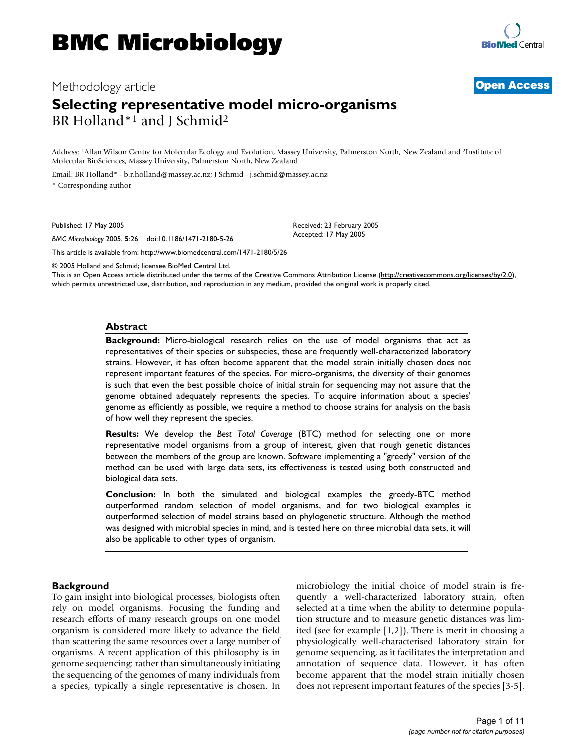## Methodology article **[Open Access](http://www.biomedcentral.com/info/about/charter/)**

# **Selecting representative model micro-organisms** BR Holland<sup>\*1</sup> and J Schmid<sup>2</sup>

Address: 1Allan Wilson Centre for Molecular Ecology and Evolution, Massey University, Palmerston North, New Zealand and 2Institute of Molecular BioSciences, Massey University, Palmerston North, New Zealand

Email: BR Holland\* - b.r.holland@massey.ac.nz; J Schmid - j.schmid@massey.ac.nz \* Corresponding author

Published: 17 May 2005

*BMC Microbiology* 2005, **5**:26 doi:10.1186/1471-2180-5-26

[This article is available from: http://www.biomedcentral.com/1471-2180/5/26](http://www.biomedcentral.com/1471-2180/5/26)

© 2005 Holland and Schmid; licensee BioMed Central Ltd.

This is an Open Access article distributed under the terms of the Creative Commons Attribution License [\(http://creativecommons.org/licenses/by/2.0\)](http://creativecommons.org/licenses/by/2.0), which permits unrestricted use, distribution, and reproduction in any medium, provided the original work is properly cited.

Received: 23 February 2005 Accepted: 17 May 2005

#### **Abstract**

**Background:** Micro-biological research relies on the use of model organisms that act as representatives of their species or subspecies, these are frequently well-characterized laboratory strains. However, it has often become apparent that the model strain initially chosen does not represent important features of the species. For micro-organisms, the diversity of their genomes is such that even the best possible choice of initial strain for sequencing may not assure that the genome obtained adequately represents the species. To acquire information about a species' genome as efficiently as possible, we require a method to choose strains for analysis on the basis of how well they represent the species.

**Results:** We develop the *Best Total Coverage* (BTC) method for selecting one or more representative model organisms from a group of interest, given that rough genetic distances between the members of the group are known. Software implementing a "greedy" version of the method can be used with large data sets, its effectiveness is tested using both constructed and biological data sets.

**Conclusion:** In both the simulated and biological examples the greedy-BTC method outperformed random selection of model organisms, and for two biological examples it outperformed selection of model strains based on phylogenetic structure. Although the method was designed with microbial species in mind, and is tested here on three microbial data sets, it will also be applicable to other types of organism.

#### **Background**

To gain insight into biological processes, biologists often rely on model organisms. Focusing the funding and research efforts of many research groups on one model organism is considered more likely to advance the field than scattering the same resources over a large number of organisms. A recent application of this philosophy is in genome sequencing: rather than simultaneously initiating the sequencing of the genomes of many individuals from a species, typically a single representative is chosen. In microbiology the initial choice of model strain is frequently a well-characterized laboratory strain, often selected at a time when the ability to determine population structure and to measure genetic distances was limited (see for example [1,2]). There is merit in choosing a physiologically well-characterised laboratory strain for genome sequencing, as it facilitates the interpretation and annotation of sequence data. However, it has often become apparent that the model strain initially chosen does not represent important features of the species [\[3-](#page-10-0)5].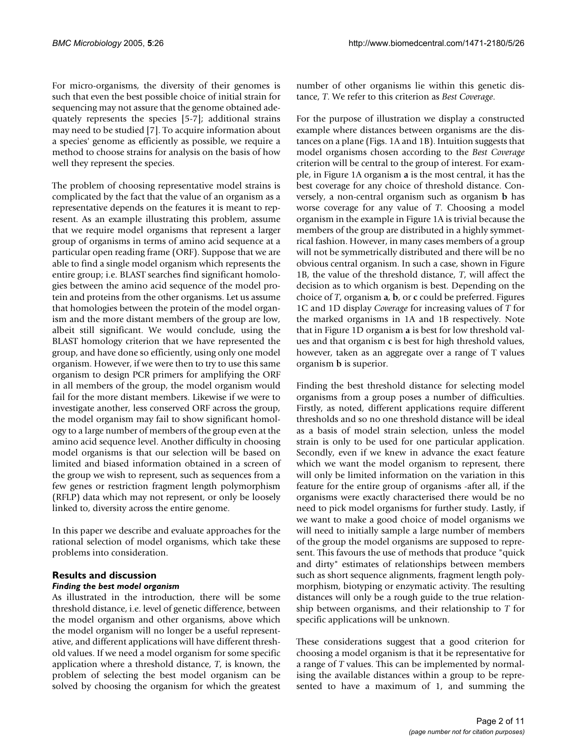For micro-organisms, the diversity of their genomes is such that even the best possible choice of initial strain for sequencing may not assure that the genome obtained adequately represents the species [5-7]; additional strains may need to be studied [7]. To acquire information about a species' genome as efficiently as possible, we require a method to choose strains for analysis on the basis of how well they represent the species.

The problem of choosing representative model strains is complicated by the fact that the value of an organism as a representative depends on the features it is meant to represent. As an example illustrating this problem, assume that we require model organisms that represent a larger group of organisms in terms of amino acid sequence at a particular open reading frame (ORF). Suppose that we are able to find a single model organism which represents the entire group; i.e. BLAST searches find significant homologies between the amino acid sequence of the model protein and proteins from the other organisms. Let us assume that homologies between the protein of the model organism and the more distant members of the group are low, albeit still significant. We would conclude, using the BLAST homology criterion that we have represented the group, and have done so efficiently, using only one model organism. However, if we were then to try to use this same organism to design PCR primers for amplifying the ORF in all members of the group, the model organism would fail for the more distant members. Likewise if we were to investigate another, less conserved ORF across the group, the model organism may fail to show significant homology to a large number of members of the group even at the amino acid sequence level. Another difficulty in choosing model organisms is that our selection will be based on limited and biased information obtained in a screen of the group we wish to represent, such as sequences from a few genes or restriction fragment length polymorphism (RFLP) data which may not represent, or only be loosely linked to, diversity across the entire genome.

In this paper we describe and evaluate approaches for the rational selection of model organisms, which take these problems into consideration.

## **Results and discussion** *Finding the best model organism*

As illustrated in the introduction, there will be some threshold distance, i.e. level of genetic difference, between the model organism and other organisms, above which the model organism will no longer be a useful representative, and different applications will have different threshold values. If we need a model organism for some specific application where a threshold distance, *T*, is known, the problem of selecting the best model organism can be solved by choosing the organism for which the greatest number of other organisms lie within this genetic distance, *T*. We refer to this criterion as *Best Coverage*.

For the purpose of illustration we display a constructed example where distances between organisms are the distances on a plane (Figs. [1](#page-2-0)A and [1B](#page-2-0)). Intuition suggests that model organisms chosen according to the *Best Coverage* criterion will be central to the group of interest. For example, in Figure [1A](#page-2-0) organism **a** is the most central, it has the best coverage for any choice of threshold distance. Conversely, a non-central organism such as organism **b** has worse coverage for any value of *T*. Choosing a model organism in the example in Figure [1](#page-2-0)A is trivial because the members of the group are distributed in a highly symmetrical fashion. However, in many cases members of a group will not be symmetrically distributed and there will be no obvious central organism. In such a case, shown in Figure [1](#page-2-0)B, the value of the threshold distance, *T*, will affect the decision as to which organism is best. Depending on the choice of *T*, organism **a**, **b**, or **c** could be preferred. Figures [1](#page-2-0)C and [1](#page-2-0)D display *Coverage* for increasing values of *T* for the marked organisms in 1A and 1B respectively. Note that in Figure [1D](#page-2-0) organism **a** is best for low threshold values and that organism **c** is best for high threshold values, however, taken as an aggregate over a range of T values organism **b** is superior.

Finding the best threshold distance for selecting model organisms from a group poses a number of difficulties. Firstly, as noted, different applications require different thresholds and so no one threshold distance will be ideal as a basis of model strain selection, unless the model strain is only to be used for one particular application. Secondly, even if we knew in advance the exact feature which we want the model organism to represent, there will only be limited information on the variation in this feature for the entire group of organisms -after all, if the organisms were exactly characterised there would be no need to pick model organisms for further study. Lastly, if we want to make a good choice of model organisms we will need to initially sample a large number of members of the group the model organisms are supposed to represent. This favours the use of methods that produce "quick and dirty" estimates of relationships between members such as short sequence alignments, fragment length polymorphism, biotyping or enzymatic activity. The resulting distances will only be a rough guide to the true relationship between organisms, and their relationship to *T* for specific applications will be unknown.

These considerations suggest that a good criterion for choosing a model organism is that it be representative for a range of *T* values. This can be implemented by normalising the available distances within a group to be represented to have a maximum of 1, and summing the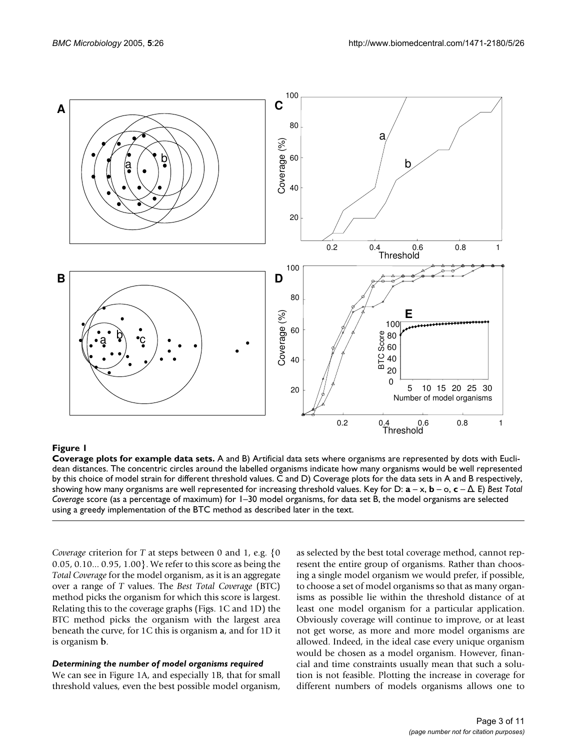<span id="page-2-0"></span>

**Coverage plots for example data sets.** A and B) Artificial data sets where organisms are represented by dots with Euclidean distances. The concentric circles around the labelled organisms indicate how many organisms would be well represented by this choice of model strain for different threshold values. C and D) Coverage plots for the data sets in A and B respectively, showing how many organisms are well represented for increasing threshold values. Key for D: **a** – x, **b** – o, **c** – ∆. E) *Best Total Coverage* score (as a percentage of maximum) for 1–30 model organisms, for data set B, the model organisms are selected using a greedy implementation of the BTC method as described later in the text.

*Coverage* criterion for *T* at steps between 0 and 1, e.g. {0 0.05, 0.10... 0.95, 1.00}. We refer to this score as being the *Total Coverage* for the model organism, as it is an aggregate over a range of *T* values. The *Best Total Coverage* (BTC) method picks the organism for which this score is largest. Relating this to the coverage graphs (Figs. [1C](#page-2-0) and [1D](#page-2-0)) the BTC method picks the organism with the largest area beneath the curve, for 1C this is organism **a**, and for 1D it is organism **b**.

#### *Determining the number of model organisms required*

We can see in Figure [1](#page-2-0)A, and especially 1B, that for small threshold values, even the best possible model organism,

as selected by the best total coverage method, cannot represent the entire group of organisms. Rather than choosing a single model organism we would prefer, if possible, to choose a set of model organisms so that as many organisms as possible lie within the threshold distance of at least one model organism for a particular application. Obviously coverage will continue to improve, or at least not get worse, as more and more model organisms are allowed. Indeed, in the ideal case every unique organism would be chosen as a model organism. However, financial and time constraints usually mean that such a solution is not feasible. Plotting the increase in coverage for different numbers of models organisms allows one to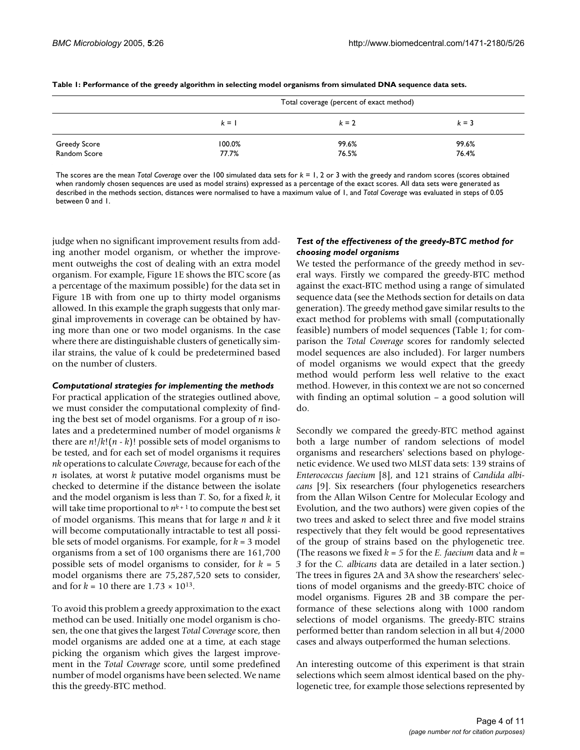|                     | Total coverage (percent of exact method) |         |         |
|---------------------|------------------------------------------|---------|---------|
|                     | $k = 1$                                  | $k = 2$ | $k = 3$ |
| <b>Greedy Score</b> | 100.0%                                   | 99.6%   | 99.6%   |
| Random Score        | 77.7%                                    | 76.5%   | 76.4%   |

**Table 1: Performance of the greedy algorithm in selecting model organisms from simulated DNA sequence data sets.**

The scores are the mean *Total Coverage* over the 100 simulated data sets for *k* = 1, 2 or 3 with the greedy and random scores (scores obtained when randomly chosen sequences are used as model strains) expressed as a percentage of the exact scores. All data sets were generated as described in the methods section, distances were normalised to have a maximum value of 1, and *Total Coverage* was evaluated in steps of 0.05 between 0 and 1.

judge when no significant improvement results from adding another model organism, or whether the improvement outweighs the cost of dealing with an extra model organism. For example, Figure [1E](#page-2-0) shows the BTC score (as a percentage of the maximum possible) for the data set in Figure [1](#page-2-0)B with from one up to thirty model organisms allowed. In this example the graph suggests that only marginal improvements in coverage can be obtained by having more than one or two model organisms. In the case where there are distinguishable clusters of genetically similar strains, the value of k could be predetermined based on the number of clusters.

#### *Computational strategies for implementing the methods*

For practical application of the strategies outlined above, we must consider the computational complexity of finding the best set of model organisms. For a group of *n* isolates and a predetermined number of model organisms *k* there are  $n!/k!(n - k)!$  possible sets of model organisms to be tested, and for each set of model organisms it requires *nk* operations to calculate *Coverage*, because for each of the *n* isolates, at worst *k* putative model organisms must be checked to determine if the distance between the isolate and the model organism is less than *T*. So, for a fixed *k*, it will take time proportional to  $n^{k+1}$  to compute the best set of model organisms. This means that for large *n* and *k* it will become computationally intractable to test all possible sets of model organisms. For example, for *k* = 3 model organisms from a set of 100 organisms there are 161,700 possible sets of model organisms to consider, for *k* = 5 model organisms there are 75,287,520 sets to consider, and for  $k = 10$  there are  $1.73 \times 10^{13}$ .

To avoid this problem a greedy approximation to the exact method can be used. Initially one model organism is chosen, the one that gives the largest *Total Coverage* score, then model organisms are added one at a time, at each stage picking the organism which gives the largest improvement in the *Total Coverage* score, until some predefined number of model organisms have been selected. We name this the greedy-BTC method.

#### *Test of the effectiveness of the greedy-BTC method for choosing model organisms*

We tested the performance of the greedy method in several ways. Firstly we compared the greedy-BTC method against the exact-BTC method using a range of simulated sequence data (see the Methods section for details on data generation). The greedy method gave similar results to the exact method for problems with small (computationally feasible) numbers of model sequences (Table 1; for comparison the *Total Coverage* scores for randomly selected model sequences are also included). For larger numbers of model organisms we would expect that the greedy method would perform less well relative to the exact method. However, in this context we are not so concerned with finding an optimal solution – a good solution will do.

Secondly we compared the greedy-BTC method against both a large number of random selections of model organisms and researchers' selections based on phylogenetic evidence. We used two MLST data sets: 139 strains of *Enterococcus faecium* [8], and 121 strains of *Candida albicans* [9]. Six researchers (four phylogenetics researchers from the Allan Wilson Centre for Molecular Ecology and Evolution, and the two authors) were given copies of the two trees and asked to select three and five model strains respectively that they felt would be good representatives of the group of strains based on the phylogenetic tree. (The reasons we fixed *k = 5* for the *E. faecium* data and *k = 3* for the *C. albicans* data are detailed in a later section.) The trees in figures 2A and 3A show the researchers' selections of model organisms and the greedy-BTC choice of model organisms. Figures 2B and 3B compare the performance of these selections along with 1000 random selections of model organisms. The greedy-BTC strains performed better than random selection in all but 4/2000 cases and always outperformed the human selections.

An interesting outcome of this experiment is that strain selections which seem almost identical based on the phylogenetic tree, for example those selections represented by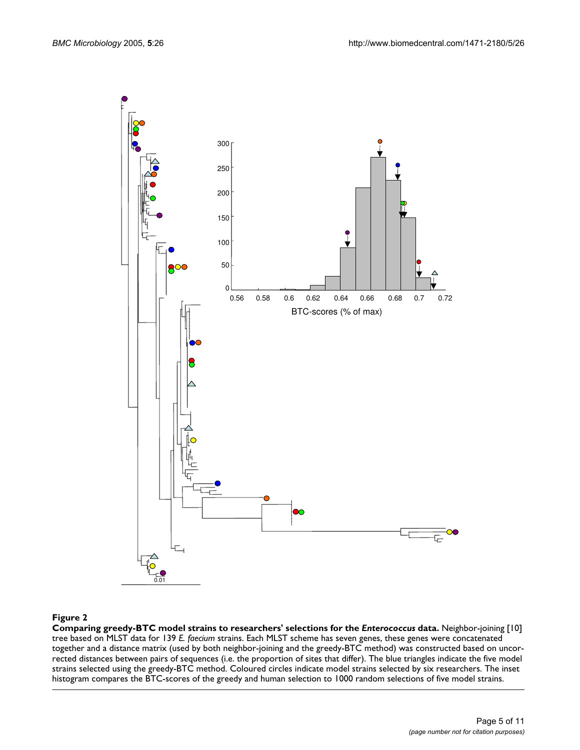

## Comparing greedy-BTC model strains to **Figure 2** researchers' selections for the *Enterococcus* data

**Comparing greedy-BTC model strains to researchers' selections for the** *Enterococcus* **data.** Neighbor-joining [10] tree based on MLST data for 139 *E. faecium* strains. Each MLST scheme has seven genes, these genes were concatenated together and a distance matrix (used by both neighbor-joining and the greedy-BTC method) was constructed based on uncorrected distances between pairs of sequences (i.e. the proportion of sites that differ). The blue triangles indicate the five model strains selected using the greedy-BTC method. Coloured circles indicate model strains selected by six researchers. The inset histogram compares the BTC-scores of the greedy and human selection to 1000 random selections of five model strains.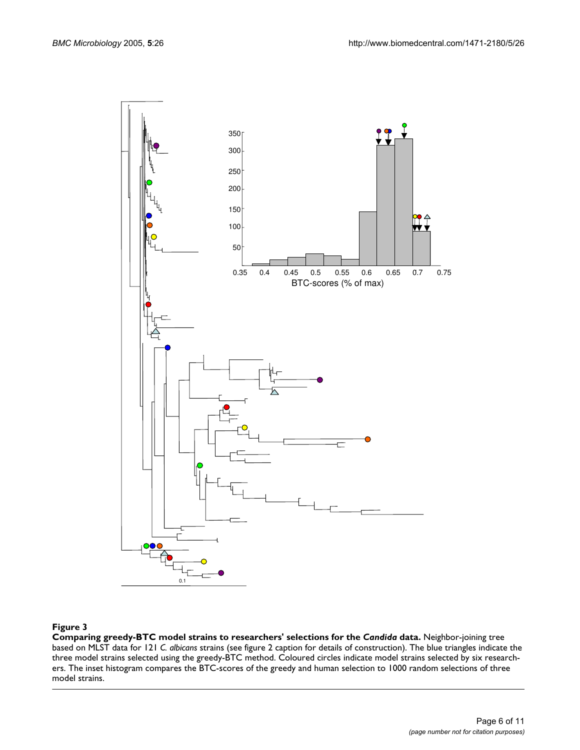

#### Comparing greedy-BTC model strains to **Figure 3** researchers' selections for the *Candida* data

**Comparing greedy-BTC model strains to researchers' selections for the** *Candida* **data.** Neighbor-joining tree based on MLST data for 121 *C. albicans* strains (see figure 2 caption for details of construction). The blue triangles indicate the three model strains selected using the greedy-BTC method. Coloured circles indicate model strains selected by six researchers. The inset histogram compares the BTC-scores of the greedy and human selection to 1000 random selections of three model strains.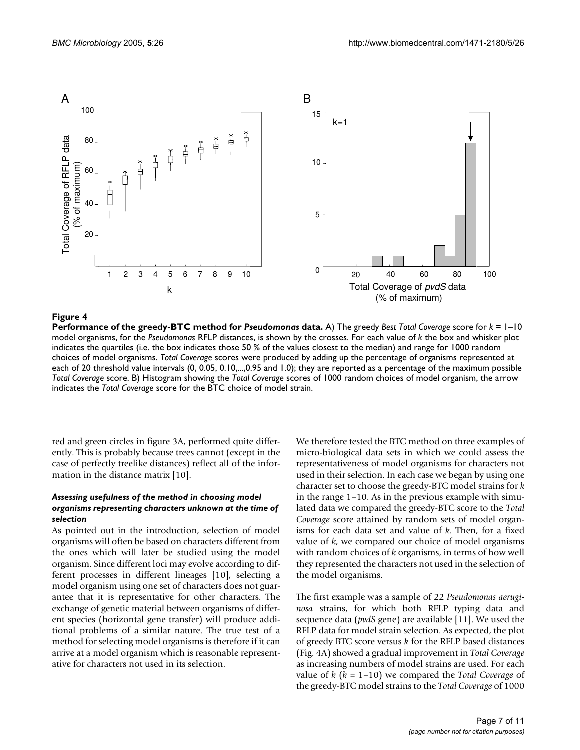

**Performance of the greedy-BTC method for** *Pseudomonas* **data.** A) The greedy *Best Total Coverage* score for *k* = 1–10 model organisms, for the *Pseudomonas* RFLP distances, is shown by the crosses. For each value of *k* the box and whisker plot indicates the quartiles (i.e. the box indicates those 50 % of the values closest to the median) and range for 1000 random choices of model organisms. *Total Coverage* scores were produced by adding up the percentage of organisms represented at each of 20 threshold value intervals (0, 0.05, 0.10,...,0.95 and 1.0); they are reported as a percentage of the maximum possible *Total Coverage* score. B) Histogram showing the *Total Coverage* scores of 1000 random choices of model organism, the arrow indicates the *Total Coverage* score for the BTC choice of model strain.

red and green circles in figure 3A, performed quite differently. This is probably because trees cannot (except in the case of perfectly treelike distances) reflect all of the information in the distance matrix [10].

#### *Assessing usefulness of the method in choosing model organisms representing characters unknown at the time of selection*

As pointed out in the introduction, selection of model organisms will often be based on characters different from the ones which will later be studied using the model organism. Since different loci may evolve according to different processes in different lineages [10], selecting a model organism using one set of characters does not guarantee that it is representative for other characters. The exchange of genetic material between organisms of different species (horizontal gene transfer) will produce additional problems of a similar nature. The true test of a method for selecting model organisms is therefore if it can arrive at a model organism which is reasonable representative for characters not used in its selection.

We therefore tested the BTC method on three examples of micro-biological data sets in which we could assess the representativeness of model organisms for characters not used in their selection. In each case we began by using one character set to choose the greedy-BTC model strains for *k* in the range 1–10. As in the previous example with simulated data we compared the greedy-BTC score to the *Total Coverage* score attained by random sets of model organisms for each data set and value of *k*. Then, for a fixed value of *k*, we compared our choice of model organisms with random choices of *k* organisms, in terms of how well they represented the characters not used in the selection of the model organisms.

The first example was a sample of 22 *Pseudomonas aeruginosa* strains, for which both RFLP typing data and sequence data (*pvdS* gene) are available [11]. We used the RFLP data for model strain selection. As expected, the plot of greedy BTC score versus *k* for the RFLP based distances (Fig. 4A) showed a gradual improvement in *Total Coverage* as increasing numbers of model strains are used. For each value of *k* (*k* = 1–10) we compared the *Total Coverage* of the greedy-BTC model strains to the *Total Coverage* of 1000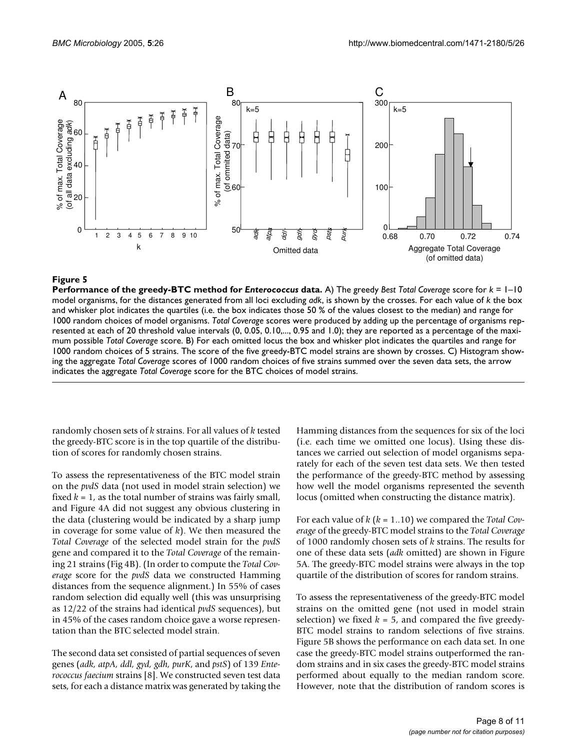

**Performance of the greedy-BTC method for** *Enterococcus* **data.** A) The greedy *Best Total Coverage* score for *k* = 1–10 model organisms, for the distances generated from all loci excluding *adk*, is shown by the crosses. For each value of *k* the box and whisker plot indicates the quartiles (i.e. the box indicates those 50 % of the values closest to the median) and range for 1000 random choices of model organisms. *Total Coverage* scores were produced by adding up the percentage of organisms represented at each of 20 threshold value intervals (0, 0.05, 0.10,..., 0.95 and 1.0); they are reported as a percentage of the maximum possible *Total Coverage* score. B) For each omitted locus the box and whisker plot indicates the quartiles and range for 1000 random choices of 5 strains. The score of the five greedy-BTC model strains are shown by crosses. C) Histogram showing the aggregate *Total Coverage* scores of 1000 random choices of five strains summed over the seven data sets, the arrow indicates the aggregate *Total Coverage* score for the BTC choices of model strains.

randomly chosen sets of *k* strains. For all values of *k* tested the greedy-BTC score is in the top quartile of the distribution of scores for randomly chosen strains.

To assess the representativeness of the BTC model strain on the *pvdS* data (not used in model strain selection) we fixed  $k = 1$ , as the total number of strains was fairly small, and Figure 4A did not suggest any obvious clustering in the data (clustering would be indicated by a sharp jump in coverage for some value of *k*). We then measured the *Total Coverage* of the selected model strain for the *pvdS* gene and compared it to the *Total Coverage* of the remaining 21 strains (Fig 4B). (In order to compute the *Total Coverage* score for the *pvdS* data we constructed Hamming distances from the sequence alignment.) In 55% of cases random selection did equally well (this was unsurprising as 12/22 of the strains had identical *pvdS* sequences), but in 45% of the cases random choice gave a worse representation than the BTC selected model strain.

The second data set consisted of partial sequences of seven genes (*adk, atpA, ddl, gyd, gdh, purK*, and *pstS*) of 139 *Enterococcus faecium* strains [8]. We constructed seven test data sets, for each a distance matrix was generated by taking the Hamming distances from the sequences for six of the loci (i.e. each time we omitted one locus). Using these distances we carried out selection of model organisms separately for each of the seven test data sets. We then tested the performance of the greedy-BTC method by assessing how well the model organisms represented the seventh locus (omitted when constructing the distance matrix).

For each value of *k* (*k* = 1..10) we compared the *Total Coverage* of the greedy-BTC model strains to the *Total Coverage* of 1000 randomly chosen sets of *k* strains. The results for one of these data sets (*adk* omitted) are shown in Figure 5A. The greedy-BTC model strains were always in the top quartile of the distribution of scores for random strains.

To assess the representativeness of the greedy-BTC model strains on the omitted gene (not used in model strain selection) we fixed  $k = 5$ , and compared the five greedy-BTC model strains to random selections of five strains. Figure 5B shows the performance on each data set. In one case the greedy-BTC model strains outperformed the random strains and in six cases the greedy-BTC model strains performed about equally to the median random score. However, note that the distribution of random scores is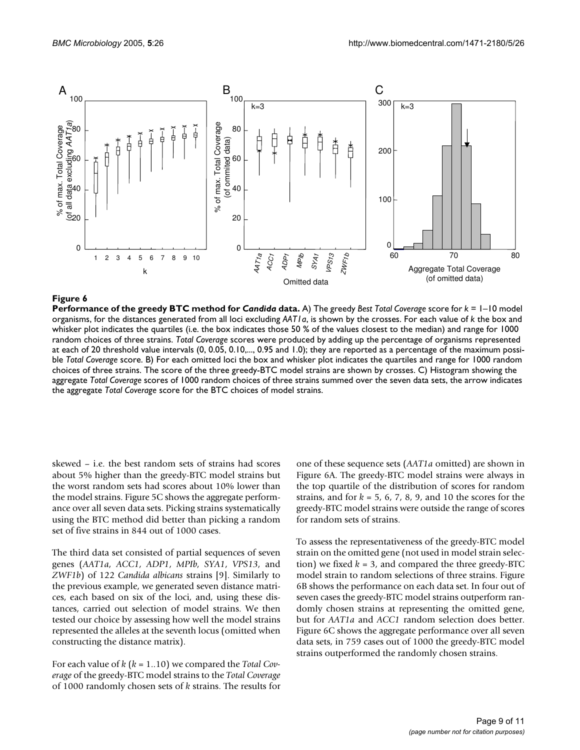

**Performance of the greedy BTC method for** *Candida* **data.** A) The greedy *Best Total Coverage* score for *k* = 1–10 model organisms, for the distances generated from all loci excluding *AAT1a*, is shown by the crosses. For each value of *k* the box and whisker plot indicates the quartiles (i.e. the box indicates those 50 % of the values closest to the median) and range for 1000 random choices of three strains. *Total Coverage* scores were produced by adding up the percentage of organisms represented at each of 20 threshold value intervals (0, 0.05, 0.10,..., 0.95 and 1.0); they are reported as a percentage of the maximum possible *Total Coverage* score. B) For each omitted loci the box and whisker plot indicates the quartiles and range for 1000 random choices of three strains. The score of the three greedy-BTC model strains are shown by crosses. C) Histogram showing the aggregate *Total Coverage* scores of 1000 random choices of three strains summed over the seven data sets, the arrow indicates the aggregate *Total Coverage* score for the BTC choices of model strains.

skewed – i.e. the best random sets of strains had scores about 5% higher than the greedy-BTC model strains but the worst random sets had scores about 10% lower than the model strains. Figure 5C shows the aggregate performance over all seven data sets. Picking strains systematically using the BTC method did better than picking a random set of five strains in 844 out of 1000 cases.

The third data set consisted of partial sequences of seven genes (*AAT1a*, *ACC1*, *ADP1*, *MPIb*, *SYA1*, *VPS13*, and *ZWF1b*) of 122 *Candida albicans* strains [9]. Similarly to the previous example, we generated seven distance matrices, each based on six of the loci, and, using these distances, carried out selection of model strains. We then tested our choice by assessing how well the model strains represented the alleles at the seventh locus (omitted when constructing the distance matrix).

For each value of *k* (*k* = 1..10) we compared the *Total Coverage* of the greedy-BTC model strains to the *Total Coverage* of 1000 randomly chosen sets of *k* strains. The results for one of these sequence sets (*AAT1a* omitted) are shown in Figure 6A. The greedy-BTC model strains were always in the top quartile of the distribution of scores for random strains, and for  $k = 5, 6, 7, 8, 9$ , and 10 the scores for the greedy-BTC model strains were outside the range of scores for random sets of strains.

To assess the representativeness of the greedy-BTC model strain on the omitted gene (not used in model strain selection) we fixed  $k = 3$ , and compared the three greedy-BTC model strain to random selections of three strains. Figure 6B shows the performance on each data set. In four out of seven cases the greedy-BTC model strains outperform randomly chosen strains at representing the omitted gene, but for *AAT1a* and *ACC1* random selection does better. Figure 6C shows the aggregate performance over all seven data sets, in 759 cases out of 1000 the greedy-BTC model strains outperformed the randomly chosen strains.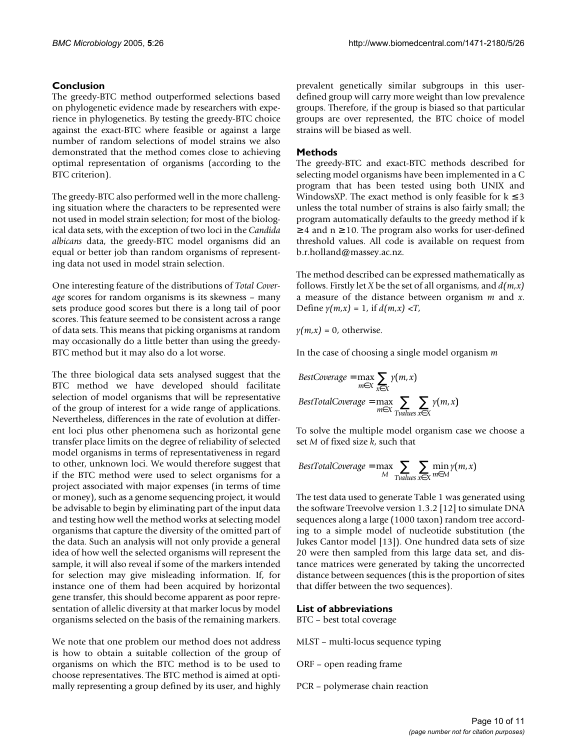## **Conclusion**

The greedy-BTC method outperformed selections based on phylogenetic evidence made by researchers with experience in phylogenetics. By testing the greedy-BTC choice against the exact-BTC where feasible or against a large number of random selections of model strains we also demonstrated that the method comes close to achieving optimal representation of organisms (according to the BTC criterion).

The greedy-BTC also performed well in the more challenging situation where the characters to be represented were not used in model strain selection; for most of the biological data sets, with the exception of two loci in the *Candida albicans* data, the greedy-BTC model organisms did an equal or better job than random organisms of representing data not used in model strain selection.

One interesting feature of the distributions of *Total Coverage* scores for random organisms is its skewness – many sets produce good scores but there is a long tail of poor scores. This feature seemed to be consistent across a range of data sets. This means that picking organisms at random may occasionally do a little better than using the greedy-BTC method but it may also do a lot worse.

The three biological data sets analysed suggest that the BTC method we have developed should facilitate selection of model organisms that will be representative of the group of interest for a wide range of applications. Nevertheless, differences in the rate of evolution at different loci plus other phenomena such as horizontal gene transfer place limits on the degree of reliability of selected model organisms in terms of representativeness in regard to other, unknown loci. We would therefore suggest that if the BTC method were used to select organisms for a project associated with major expenses (in terms of time or money), such as a genome sequencing project, it would be advisable to begin by eliminating part of the input data and testing how well the method works at selecting model organisms that capture the diversity of the omitted part of the data. Such an analysis will not only provide a general idea of how well the selected organisms will represent the sample, it will also reveal if some of the markers intended for selection may give misleading information. If, for instance one of them had been acquired by horizontal gene transfer, this should become apparent as poor representation of allelic diversity at that marker locus by model organisms selected on the basis of the remaining markers.

We note that one problem our method does not address is how to obtain a suitable collection of the group of organisms on which the BTC method is to be used to choose representatives. The BTC method is aimed at optimally representing a group defined by its user, and highly prevalent genetically similar subgroups in this userdefined group will carry more weight than low prevalence groups. Therefore, if the group is biased so that particular groups are over represented, the BTC choice of model strains will be biased as well.

## **Methods**

The greedy-BTC and exact-BTC methods described for selecting model organisms have been implemented in a C program that has been tested using both UNIX and WindowsXP. The exact method is only feasible for  $k \leq 3$ unless the total number of strains is also fairly small; the program automatically defaults to the greedy method if k  $\geq$  4 and n  $\geq$  10. The program also works for user-defined threshold values. All code is available on request from b.r.holland@massey.ac.nz.

The method described can be expressed mathematically as follows. Firstly let *X* be the set of all organisms, and *d(m,x)* a measure of the distance between organism *m* and *x*. Define  $y(m,x) = 1$ , if  $d(m,x) < T$ ,

 $y(m,x) = 0$ , otherwise.

In the case of choosing a single model organism *m*

$$
BestCoverage = \max_{m \in X} \sum_{x \in X} \gamma(m, x)
$$
  

$$
BestTotalCoverage = \max_{m \in X} \sum_{Tvalues} \sum_{x \in X} \gamma(m, x)
$$

To solve the multiple model organism case we choose a set *M* of fixed size *k*, such that

$$
BestTotalCoverage = \max_{M} \sum_{Tvalues} \sum_{x \in X} \min_{m \in M} \gamma(m, x)
$$

The test data used to generate Table 1 was generated using the software Treevolve version 1.3.2 [12] to simulate DNA sequences along a large (1000 taxon) random tree according to a simple model of nucleotide substitution (the Jukes Cantor model [13]). One hundred data sets of size 20 were then sampled from this large data set, and distance matrices were generated by taking the uncorrected distance between sequences (this is the proportion of sites that differ between the two sequences).

## **List of abbreviations**

BTC – best total coverage

- MLST multi-locus sequence typing
- ORF open reading frame
- PCR polymerase chain reaction